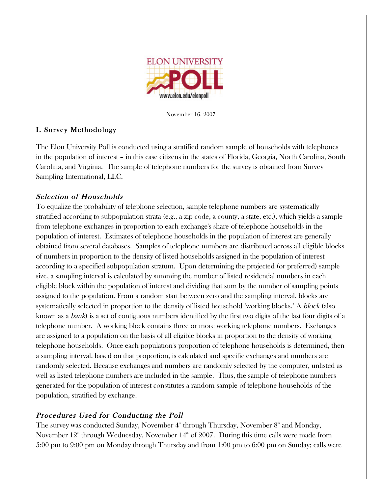

November 16, 2007

# I. Survey Methodology

The Elon University Poll is conducted using a stratified random sample of households with telephones in the population of interest – in this case citizens in the states of Florida, Georgia, North Carolina, South Carolina, and Virginia. The sample of telephone numbers for the survey is obtained from Survey Sampling International, LLC.

# Selection of Households

To equalize the probability of telephone selection, sample telephone numbers are systematically stratified according to subpopulation strata (e.g., a zip code, a county, a state, etc.), which yields a sample from telephone exchanges in proportion to each exchange's share of telephone households in the population of interest. Estimates of telephone households in the population of interest are generally obtained from several databases. Samples of telephone numbers are distributed across all eligible blocks of numbers in proportion to the density of listed households assigned in the population of interest according to a specified subpopulation stratum. Upon determining the projected (or preferred) sample size, a sampling interval is calculated by summing the number of listed residential numbers in each eligible block within the population of interest and dividing that sum by the number of sampling points assigned to the population. From a random start between zero and the sampling interval, blocks are systematically selected in proportion to the density of listed household "working blocks." A *block* (also known as a bank) is a set of contiguous numbers identified by the first two digits of the last four digits of a telephone number. A working block contains three or more working telephone numbers. Exchanges are assigned to a population on the basis of all eligible blocks in proportion to the density of working telephone households. Once each population's proportion of telephone households is determined, then a sampling interval, based on that proportion, is calculated and specific exchanges and numbers are randomly selected. Because exchanges and numbers are randomly selected by the computer, unlisted as well as listed telephone numbers are included in the sample. Thus, the sample of telephone numbers generated for the population of interest constitutes a random sample of telephone households of the population, stratified by exchange.

# Procedures Used for Conducting the Poll

The survey was conducted Sunday, November  $4^{\text{\tiny th}}$  through Thursday, November  $8^{\text{\tiny th}}$  and Monday, November  $12^{\text{\tiny th}}$  through Wednesday, November  $14^{\text{\tiny th}}$  of 2007. During this time calls were made from 5:00 pm to 9:00 pm on Monday through Thursday and from 1:00 pm to 6:00 pm on Sunday; calls were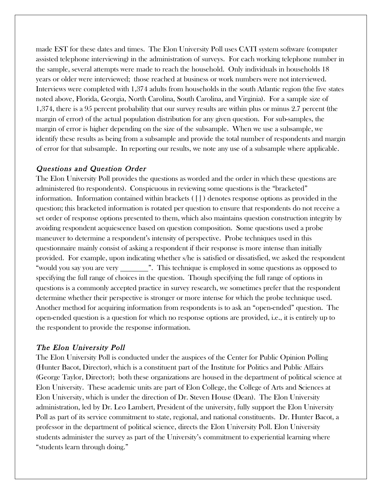made EST for these dates and times. The Elon University Poll uses CATI system software (computer assisted telephone interviewing) in the administration of surveys. For each working telephone number in the sample, several attempts were made to reach the household. Only individuals in households 18 years or older were interviewed; those reached at business or work numbers were not interviewed. Interviews were completed with 1,374 adults from households in the south Atlantic region (the five states noted above, Florida, Georgia, North Carolina, South Carolina, and Virginia). For a sample size of 1,374, there is a 95 percent probability that our survey results are within plus or minus 2.7 percent (the margin of error) of the actual population distribution for any given question. For sub-samples, the margin of error is higher depending on the size of the subsample. When we use a subsample, we identify these results as being from a subsample and provide the total number of respondents and margin of error for that subsample. In reporting our results, we note any use of a subsample where applicable.

### Questions and Question Order

The Elon University Poll provides the questions as worded and the order in which these questions are administered (to respondents). Conspicuous in reviewing some questions is the "bracketed" information. Information contained within brackets ( [ ] ) denotes response options as provided in the question; this bracketed information is rotated per question to ensure that respondents do not receive a set order of response options presented to them, which also maintains question construction integrity by avoiding respondent acquiescence based on question composition. Some questions used a probe maneuver to determine a respondent's intensity of perspective. Probe techniques used in this questionnaire mainly consist of asking a respondent if their response is more intense than initially provided. For example, upon indicating whether s/he is satisfied or dissatisfied, we asked the respondent "would you say you are very \_\_\_\_\_\_\_\_\_". This technique is employed in some questions as opposed to specifying the full range of choices in the question. Though specifying the full range of options in questions is a commonly accepted practice in survey research, we sometimes prefer that the respondent determine whether their perspective is stronger or more intense for which the probe technique used. Another method for acquiring information from respondents is to ask an "open-ended" question. The open-ended question is a question for which no response options are provided, i.e., it is entirely up to the respondent to provide the response information.

## The Elon University Poll

The Elon University Poll is conducted under the auspices of the Center for Public Opinion Polling (Hunter Bacot, Director), which is a constituent part of the Institute for Politics and Public Affairs (George Taylor, Director); both these organizations are housed in the department of political science at Elon University. These academic units are part of Elon College, the College of Arts and Sciences at Elon University, which is under the direction of Dr. Steven House (Dean). The Elon University administration, led by Dr. Leo Lambert, President of the university, fully support the Elon University Poll as part of its service commitment to state, regional, and national constituents. Dr. Hunter Bacot, a professor in the department of political science, directs the Elon University Poll. Elon University students administer the survey as part of the University's commitment to experiential learning where "students learn through doing."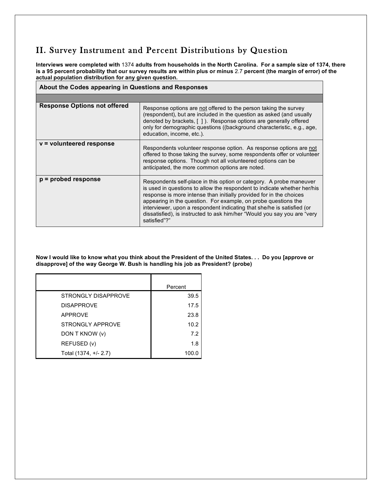# II. Survey Instrument and Percent Distributions by Question

Interviews were completed with 1374 adults from households in the North Carolina. For a sample size of 1374, there is a 95 percent probability that our survey results are within plus or minus 2.7 percent (the margin of error) of the **actual population distribution for any given question.**

| About the Codes appearing in Questions and Responses |                                                                                                                                                                                                                                                                                                                                                                                                                                                                |
|------------------------------------------------------|----------------------------------------------------------------------------------------------------------------------------------------------------------------------------------------------------------------------------------------------------------------------------------------------------------------------------------------------------------------------------------------------------------------------------------------------------------------|
|                                                      |                                                                                                                                                                                                                                                                                                                                                                                                                                                                |
| <b>Response Options not offered</b>                  | Response options are not offered to the person taking the survey<br>(respondent), but are included in the question as asked (and usually<br>denoted by brackets, [1]. Response options are generally offered<br>only for demographic questions ((background characteristic, e.g., age,<br>education, income, etc.).                                                                                                                                            |
| v = volunteered response                             | Respondents volunteer response option. As response options are not<br>offered to those taking the survey, some respondents offer or volunteer<br>response options. Though not all volunteered options can be<br>anticipated, the more common options are noted.                                                                                                                                                                                                |
| $p =$ probed response                                | Respondents self-place in this option or category. A probe maneuver<br>is used in questions to allow the respondent to indicate whether her/his<br>response is more intense than initially provided for in the choices<br>appearing in the question. For example, on probe questions the<br>interviewer, upon a respondent indicating that she/he is satisfied (or<br>dissatisfied), is instructed to ask him/her "Would you say you are "very<br>satisfied"?" |

Now I would like to know what you think about the President of the United States. . . Do you [approve or **disapprove] of the way George W. Bush is handling his job as President? (probe)**

|                       | Percent |
|-----------------------|---------|
| STRONGLY DISAPPROVE   | 39.5    |
| <b>DISAPPROVE</b>     | 17.5    |
| <b>APPROVE</b>        | 23.8    |
| STRONGLY APPROVE      | 10.2    |
| DON T KNOW (v)        | 7.2     |
| REFUSED (v)           | 1.8     |
| Total (1374, +/- 2.7) | 100.0   |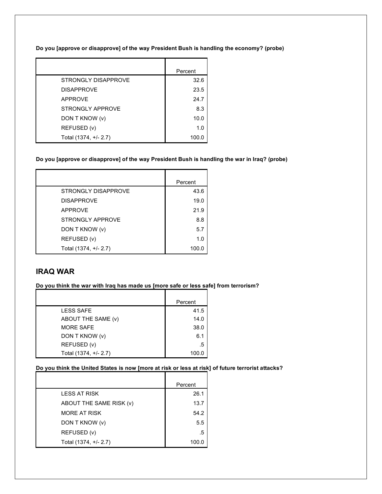**Do you [approve or disapprove] of the way President Bush is handling the economy? (probe)**

|                       | Percent |
|-----------------------|---------|
| STRONGLY DISAPPROVE   | 326     |
| <b>DISAPPROVE</b>     | 23.5    |
| APPROVE               | 24.7    |
| STRONGLY APPROVE      | 8.3     |
| DON T KNOW (v)        | 10.0    |
| REFUSED (v)           | 1.0     |
| Total (1374, +/- 2.7) | 100.0   |

#### **Do you [approve or disapprove] of the way President Bush is handling the war in Iraq? (probe)**

|                       | Percent |
|-----------------------|---------|
| STRONGLY DISAPPROVE   | 43.6    |
| <b>DISAPPROVE</b>     | 19.0    |
| <b>APPROVE</b>        | 21.9    |
| STRONGLY APPROVE      | 8.8     |
| DON T KNOW (v)        | 5.7     |
| REFUSED (v)           | 1.0     |
| Total (1374, +/- 2.7) | 100.0   |

## **IRAQ WAR**

#### **Do you think the war with Iraq has made us [more safe or less safe] from terrorism?**

|                       | Percent |
|-----------------------|---------|
| <b>LESS SAFE</b>      | 41.5    |
| ABOUT THE SAME (v)    | 14.0    |
| <b>MORE SAFE</b>      | 38.0    |
| DON T KNOW (v)        | 6.1     |
| REFUSED (v)           | .5      |
| Total (1374, +/- 2.7) | 100.0   |

# Do you think the United States is now [more at risk or less at risk] of future terrorist attacks?

|                         | Percent |
|-------------------------|---------|
| <b>LESS AT RISK</b>     | 26.1    |
| ABOUT THE SAME RISK (v) | 13.7    |
| <b>MORE AT RISK</b>     | 54.2    |
| DON T KNOW (v)          | 5.5     |
| REFUSED (v)             | .5      |
| Total (1374, +/- 2.7)   | 100.0   |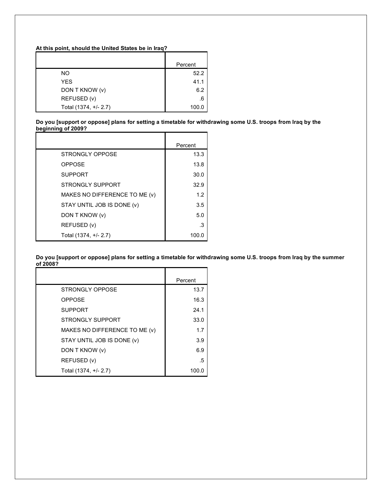#### **At this point, should the United States be in Iraq?**

|                       | Percent |
|-----------------------|---------|
| NO.                   | 52.2    |
| <b>YES</b>            | 41.1    |
| DON T KNOW (v)        | 6.2     |
| REFUSED (v)           | .6      |
| Total (1374, +/- 2.7) | 100.0   |

Do you [support or oppose] plans for setting a timetable for withdrawing some U.S. troops from Iraq by the **beginning of 2009?**

|                               | Percent |
|-------------------------------|---------|
| STRONGLY OPPOSE               | 13.3    |
| <b>OPPOSE</b>                 | 13.8    |
| <b>SUPPORT</b>                | 30.0    |
| STRONGLY SUPPORT              | 32.9    |
| MAKES NO DIFFERENCE TO ME (v) | 1.2     |
| STAY UNTIL JOB IS DONE (v)    | 3.5     |
| DON T KNOW (v)                | 5.0     |
| REFUSED (v)                   | -3      |
| Total (1374, +/- 2.7)         | 100.0   |

Do you [support or oppose] plans for setting a timetable for withdrawing some U.S. troops from Iraq by the summer **of 2008?**

|                               | Percent |
|-------------------------------|---------|
| STRONGLY OPPOSE               | 13.7    |
| <b>OPPOSE</b>                 | 16.3    |
| <b>SUPPORT</b>                | 24.1    |
| STRONGLY SUPPORT              | 33.0    |
| MAKES NO DIFFERENCE TO ME (v) | 1.7     |
| STAY UNTIL JOB IS DONE (v)    | 3.9     |
| DON T KNOW (v)                | 6.9     |
| REFUSED (v)                   | .5      |
| Total (1374, +/- 2.7)         | 100.0   |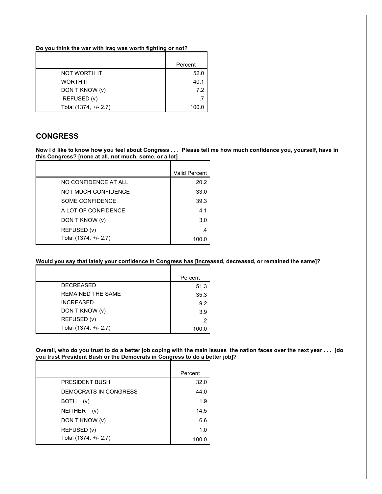**Do you think the war with Iraq was worth fighting or not?**

|                       | Percent |
|-----------------------|---------|
| NOT WORTH IT          | 52.0    |
| <b>WORTH IT</b>       | 40.1    |
| DON T KNOW (v)        | 7.2     |
| REFUSED (v)           | .7      |
| Total (1374, +/- 2.7) | 100.0   |

### **CONGRESS**

Now I d like to know how you feel about Congress . . . Please tell me how much confidence you, yourself, have in **this Congress? [none at all, not much, some, or a lot]**

|                       | <b>Valid Percent</b> |
|-----------------------|----------------------|
| NO CONFIDENCE AT ALL  | 20.2                 |
| NOT MUCH CONFIDENCE   | 33.0                 |
| SOME CONFIDENCE       | 39.3                 |
| A LOT OF CONFIDENCE   | 4.1                  |
| DON T KNOW (v)        | 3.0                  |
| REFUSED (v)           | .4                   |
| Total (1374, +/- 2.7) | 100.0                |

**Would you say that lately your confidence in Congress has [increased, decreased, or remained the same]?**

|                       | Percent |
|-----------------------|---------|
| <b>DECREASED</b>      | 51.3    |
| REMAINED THE SAME     | 35.3    |
| <b>INCREASED</b>      | 9.2     |
| DON T KNOW (v)        | 3.9     |
| REFUSED (v)           | .2      |
| Total (1374, +/- 2.7) | 100.0   |

Overall, who do you trust to do a better job coping with the main issues the nation faces over the next year . . . [do **you trust President Bush or the Democrats in Congress to do a better job]?**

|                       | Percent |
|-----------------------|---------|
| PRESIDENT BUSH        | 32.0    |
| DEMOCRATS IN CONGRESS | 44.0    |
| BOTH<br>(v)           | 1.9     |
| NEITHER (v)           | 14.5    |
| DON T KNOW (v)        | 6.6     |
| REFUSED (v)           | 1.0     |
| Total (1374, +/- 2.7) | 100.0   |